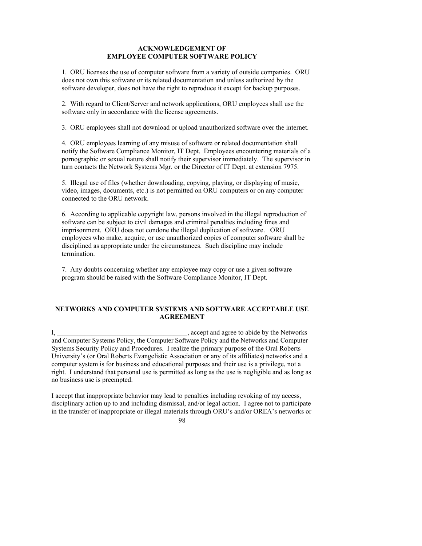## **ACKNOWLEDGEMENT OF EMPLOYEE COMPUTER SOFTWARE POLICY**

1. ORU licenses the use of computer software from a variety of outside companies. ORU does not own this software or its related documentation and unless authorized by the software developer, does not have the right to reproduce it except for backup purposes.

2. With regard to Client/Server and network applications, ORU employees shall use the software only in accordance with the license agreements.

3. ORU employees shall not download or upload unauthorized software over the internet.

4. ORU employees learning of any misuse of software or related documentation shall notify the Software Compliance Monitor, IT Dept. Employees encountering materials of a pornographic or sexual nature shall notify their supervisor immediately. The supervisor in turn contacts the Network Systems Mgr. or the Director of IT Dept. at extension 7975.

5. Illegal use of files (whether downloading, copying, playing, or displaying of music, video, images, documents, etc.) is not permitted on ORU computers or on any computer connected to the ORU network.

6. According to applicable copyright law, persons involved in the illegal reproduction of software can be subject to civil damages and criminal penalties including fines and imprisonment. ORU does not condone the illegal duplication of software. ORU employees who make, acquire, or use unauthorized copies of computer software shall be disciplined as appropriate under the circumstances. Such discipline may include termination.

7. Any doubts concerning whether any employee may copy or use a given software program should be raised with the Software Compliance Monitor, IT Dept.

## **NETWORKS AND COMPUTER SYSTEMS AND SOFTWARE ACCEPTABLE USE AGREEMENT**

I, \_\_\_\_\_\_\_\_\_\_\_\_\_\_\_\_\_\_\_\_\_\_\_\_\_\_\_\_\_\_\_, accept and agree to abide by the Networks and Computer Systems Policy, the Computer Software Policy and the Networks and Computer Systems Security Policy and Procedures. I realize the primary purpose of the Oral Roberts University's (or Oral Roberts Evangelistic Association or any of its affiliates) networks and a computer system is for business and educational purposes and their use is a privilege, not a right. I understand that personal use is permitted as long as the use is negligible and as long as no business use is preempted.

I accept that inappropriate behavior may lead to penalties including revoking of my access, disciplinary action up to and including dismissal, and/or legal action. I agree not to participate in the transfer of inappropriate or illegal materials through ORU's and/or OREA's networks or